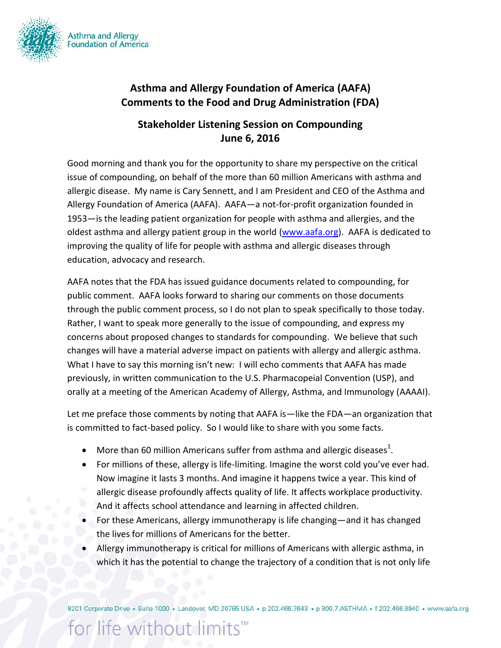

## **Asthma and Allergy Foundation of America (AAFA) Comments to the Food and Drug Administration (FDA)**

## **Stakeholder Listening Session on Compounding June 6, 2016**

Good morning and thank you for the opportunity to share my perspective on the critical issue of compounding, on behalf of the more than 60 million Americans with asthma and allergic disease. My name is Cary Sennett, and I am President and CEO of the Asthma and Allergy Foundation of America (AAFA). AAFA—a not-for-profit organization founded in 1953—is the leading patient organization for people with asthma and allergies, and the oldest asthma and allergy patient group in the world [\(www.aafa.org\)](http://www.aafa.org/). AAFA is dedicated to improving the quality of life for people with asthma and allergic diseases through education, advocacy and research.

AAFA notes that the FDA has issued guidance documents related to compounding, for public comment. AAFA looks forward to sharing our comments on those documents through the public comment process, so I do not plan to speak specifically to those today. Rather, I want to speak more generally to the issue of compounding, and express my concerns about proposed changes to standards for compounding. We believe that such changes will have a material adverse impact on patients with allergy and allergic asthma. What I have to say this morning isn't new: I will echo comments that AAFA has made previously, in written communication to the U.S. Pharmacopeial Convention (USP), and orally at a meeting of the American Academy of Allergy, Asthma, and Immunology (AAAAI).

Let me preface those comments by noting that AAFA is—like the FDA—an organization that is committed to fact-based policy. So I would like to share with you some facts.

- $\bullet$  More than 60 million Americans suffer from asthma and allergic diseases<sup>1</sup>.
- For millions of these, allergy is life-limiting. Imagine the worst cold you've ever had. Now imagine it lasts 3 months. And imagine it happens twice a year. This kind of allergic disease profoundly affects quality of life. It affects workplace productivity. And it affects school attendance and learning in affected children.
- For these Americans, allergy immunotherapy is life changing—and it has changed the lives for millions of Americans for the better.
- Allergy immunotherapy is critical for millions of Americans with allergic asthma, in which it has the potential to change the trajectory of a condition that is not only life

8201 Corporate Drive · Suite 1000 · Landover, MD 20785 USA · p 202.466.7643 · p 800.7.ASTHMA · f 202.466.8940 · www.aafa.org

## for life without limits™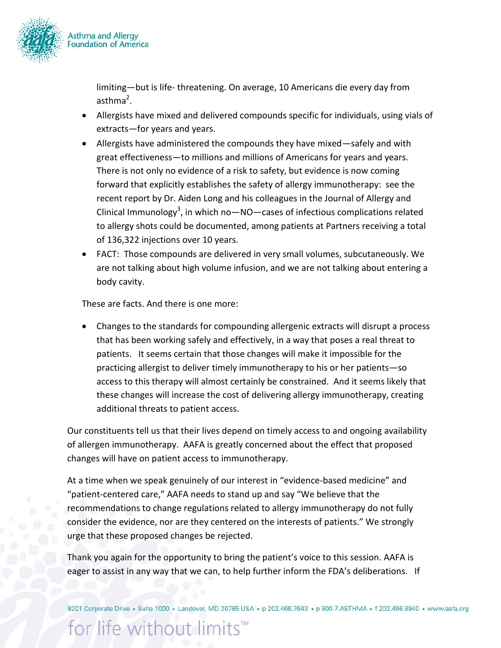

limiting—but is life- threatening. On average, 10 Americans die every day from asthma<sup>2</sup>.

- Allergists have mixed and delivered compounds specific for individuals, using vials of extracts—for years and years.
- Allergists have administered the compounds they have mixed—safely and with great effectiveness—to millions and millions of Americans for years and years. There is not only no evidence of a risk to safety, but evidence is now coming forward that explicitly establishes the safety of allergy immunotherapy: see the recent report by Dr. Aiden Long and his colleagues in the Journal of Allergy and Clinical Immunology<sup>3</sup>, in which no-NO-cases of infectious complications related to allergy shots could be documented, among patients at Partners receiving a total of 136,322 injections over 10 years.
- FACT: Those compounds are delivered in very small volumes, subcutaneously. We are not talking about high volume infusion, and we are not talking about entering a body cavity.

These are facts. And there is one more:

 Changes to the standards for compounding allergenic extracts will disrupt a process that has been working safely and effectively, in a way that poses a real threat to patients. It seems certain that those changes will make it impossible for the practicing allergist to deliver timely immunotherapy to his or her patients—so access to this therapy will almost certainly be constrained. And it seems likely that these changes will increase the cost of delivering allergy immunotherapy, creating additional threats to patient access.

Our constituents tell us that their lives depend on timely access to and ongoing availability of allergen immunotherapy. AAFA is greatly concerned about the effect that proposed changes will have on patient access to immunotherapy.

At a time when we speak genuinely of our interest in "evidence-based medicine" and "patient-centered care," AAFA needs to stand up and say "We believe that the recommendations to change regulations related to allergy immunotherapy do not fully consider the evidence, nor are they centered on the interests of patients." We strongly urge that these proposed changes be rejected.

Thank you again for the opportunity to bring the patient's voice to this session. AAFA is eager to assist in any way that we can, to help further inform the FDA's deliberations. If

8201 Corporate Drive · Suite 1000 · Landover, MD 20785 USA · p 202.466.7643 · p 800.7.ASTHMA · f 202.466.8940 · www.aafa.org

for life without limits™